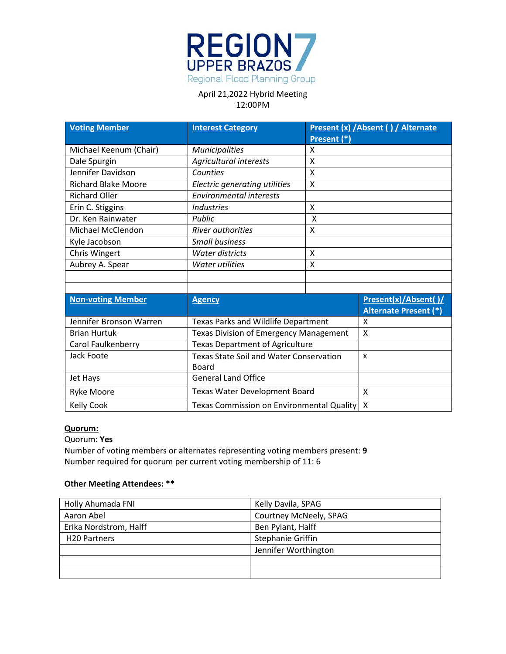

| <b>Voting Member</b>       | <b>Interest Category</b>                       |                           | Present (x) / Absent () / Alternate |
|----------------------------|------------------------------------------------|---------------------------|-------------------------------------|
|                            |                                                | Present (*)               |                                     |
| Michael Keenum (Chair)     | <b>Municipalities</b>                          | x                         |                                     |
| Dale Spurgin               | Agricultural interests                         | X                         |                                     |
| Jennifer Davidson          | Counties                                       | X                         |                                     |
| <b>Richard Blake Moore</b> | Electric generating utilities                  | $\boldsymbol{\mathsf{X}}$ |                                     |
| <b>Richard Oller</b>       | <b>Environmental interests</b>                 |                           |                                     |
| Erin C. Stiggins           | <b>Industries</b>                              | X                         |                                     |
| Dr. Ken Rainwater          | Public                                         | X                         |                                     |
| Michael McClendon          | <b>River authorities</b>                       | X                         |                                     |
| Kyle Jacobson              | <b>Small business</b>                          |                           |                                     |
| Chris Wingert              | <b>Water districts</b>                         | X                         |                                     |
| Aubrey A. Spear            | <b>Water utilities</b>                         | X                         |                                     |
|                            |                                                |                           |                                     |
|                            |                                                |                           |                                     |
| <b>Non-voting Member</b>   | <b>Agency</b>                                  |                           | Present(x)/Absent()/                |
|                            |                                                |                           | <b>Alternate Present (*)</b>        |
| Jennifer Bronson Warren    | <b>Texas Parks and Wildlife Department</b>     |                           | X                                   |
| <b>Brian Hurtuk</b>        | <b>Texas Division of Emergency Management</b>  |                           | X                                   |
| Carol Faulkenberry         | <b>Texas Department of Agriculture</b>         |                           |                                     |
| Jack Foote                 | <b>Texas State Soil and Water Conservation</b> |                           | $\boldsymbol{\mathsf{x}}$           |
|                            | Board                                          |                           |                                     |
| Jet Hays                   | <b>General Land Office</b>                     |                           |                                     |
| Ryke Moore                 | Texas Water Development Board                  |                           | X                                   |
| <b>Kelly Cook</b>          | Χ<br>Texas Commission on Environmental Quality |                           |                                     |

### **Quorum:**

#### Quorum: **Yes**

Number of voting members or alternates representing voting members present: **9** Number required for quorum per current voting membership of 11: 6

## **Other Meeting Attendees: \*\***

| Holly Ahumada FNI        | Kelly Davila, SPAG     |  |
|--------------------------|------------------------|--|
| Aaron Abel               | Courtney McNeely, SPAG |  |
| Erika Nordstrom, Halff   | Ben Pylant, Halff      |  |
| H <sub>20</sub> Partners | Stephanie Griffin      |  |
|                          | Jennifer Worthington   |  |
|                          |                        |  |
|                          |                        |  |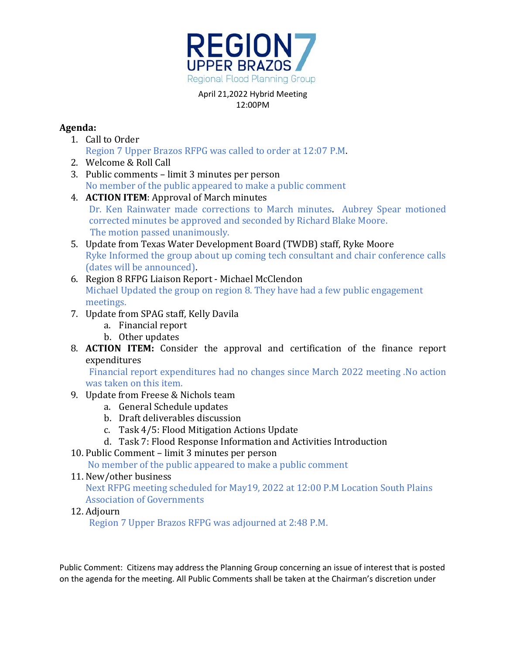

# **Agenda:**

- 1. Call to Order Region 7 Upper Brazos RFPG was called to order at 12:07 P.M.
- 2. Welcome & Roll Call
- 3. Public comments limit 3 minutes per person No member of the public appeared to make a public comment
- 4. **ACTION ITEM**: Approval of March minutes Dr. Ken Rainwater made corrections to March minutes. Aubrey Spear motioned corrected minutes be approved and seconded by Richard Blake Moore. The motion passed unanimously.
- 5. Update from Texas Water Development Board (TWDB) staff, Ryke Moore Ryke Informed the group about up coming tech consultant and chair conference calls (dates will be announced).
- 6. Region 8 RFPG Liaison Report Michael McClendon Michael Updated the group on region 8. They have had a few public engagement meetings.
- 7. Update from SPAG staff, Kelly Davila
	- a. Financial report
	- b. Other updates
- 8. **ACTION ITEM:** Consider the approval and certification of the finance report expenditures

Financial report expenditures had no changes since March 2022 meeting .No action was taken on this item.

- 9. Update from Freese & Nichols team
	- a. General Schedule updates
	- b. Draft deliverables discussion
	- c. Task 4/5: Flood Mitigation Actions Update
	- d. Task 7: Flood Response Information and Activities Introduction
- 10. Public Comment limit 3 minutes per person

No member of the public appeared to make a public comment

11. New/other business

Next RFPG meeting scheduled for May19, 2022 at 12:00 P.M Location South Plains Association of Governments

12. Adjourn

Region 7 Upper Brazos RFPG was adjourned at 2:48 P.M.

Public Comment: Citizens may address the Planning Group concerning an issue of interest that is posted on the agenda for the meeting. All Public Comments shall be taken at the Chairman's discretion under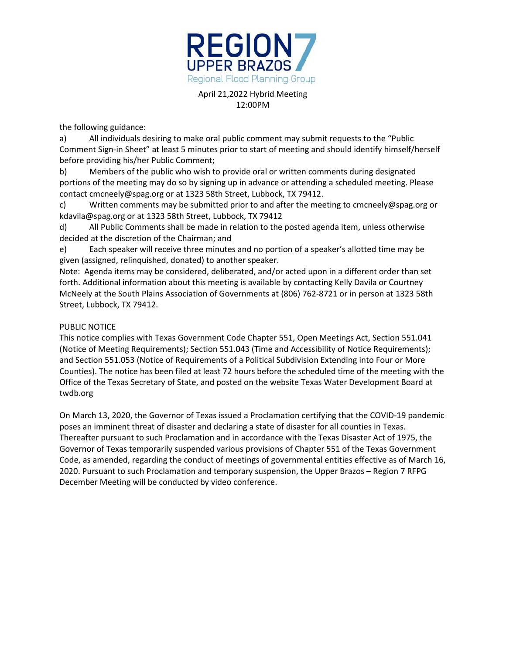

the following guidance:

a) All individuals desiring to make oral public comment may submit requests to the "Public Comment Sign-in Sheet" at least 5 minutes prior to start of meeting and should identify himself/herself before providing his/her Public Comment;

b) Members of the public who wish to provide oral or written comments during designated portions of the meeting may do so by signing up in advance or attending a scheduled meeting. Please contact cmcneely@spag.org or at 1323 58th Street, Lubbock, TX 79412.

c) Written comments may be submitted prior to and after the meeting to cmcneely@spag.org or kdavila@spag.org or at 1323 58th Street, Lubbock, TX 79412

d) All Public Comments shall be made in relation to the posted agenda item, unless otherwise decided at the discretion of the Chairman; and

e) Each speaker will receive three minutes and no portion of a speaker's allotted time may be given (assigned, relinquished, donated) to another speaker.

Note: Agenda items may be considered, deliberated, and/or acted upon in a different order than set forth. Additional information about this meeting is available by contacting Kelly Davila or Courtney McNeely at the South Plains Association of Governments at (806) 762-8721 or in person at 1323 58th Street, Lubbock, TX 79412.

### PUBLIC NOTICE

This notice complies with Texas Government Code Chapter 551, Open Meetings Act, Section 551.041 (Notice of Meeting Requirements); Section 551.043 (Time and Accessibility of Notice Requirements); and Section 551.053 (Notice of Requirements of a Political Subdivision Extending into Four or More Counties). The notice has been filed at least 72 hours before the scheduled time of the meeting with the Office of the Texas Secretary of State, and posted on the website Texas Water Development Board at twdb.org

On March 13, 2020, the Governor of Texas issued a Proclamation certifying that the COVID-19 pandemic poses an imminent threat of disaster and declaring a state of disaster for all counties in Texas. Thereafter pursuant to such Proclamation and in accordance with the Texas Disaster Act of 1975, the Governor of Texas temporarily suspended various provisions of Chapter 551 of the Texas Government Code, as amended, regarding the conduct of meetings of governmental entities effective as of March 16, 2020. Pursuant to such Proclamation and temporary suspension, the Upper Brazos – Region 7 RFPG December Meeting will be conducted by video conference.